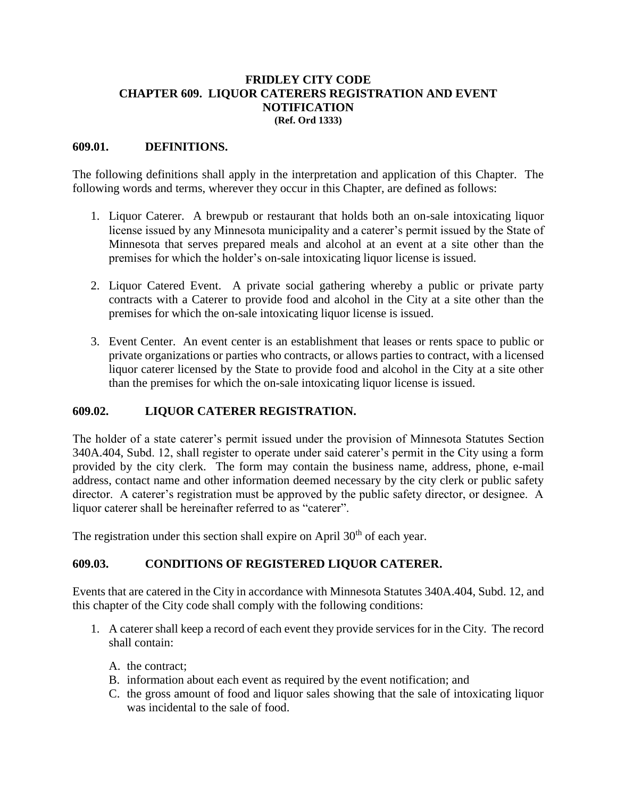#### **FRIDLEY CITY CODE CHAPTER 609. LIQUOR CATERERS REGISTRATION AND EVENT NOTIFICATION (Ref. Ord 1333)**

#### **609.01. DEFINITIONS.**

The following definitions shall apply in the interpretation and application of this Chapter. The following words and terms, wherever they occur in this Chapter, are defined as follows:

- 1. Liquor Caterer. A brewpub or restaurant that holds both an on-sale intoxicating liquor license issued by any Minnesota municipality and a caterer's permit issued by the State of Minnesota that serves prepared meals and alcohol at an event at a site other than the premises for which the holder's on-sale intoxicating liquor license is issued.
- 2. Liquor Catered Event. A private social gathering whereby a public or private party contracts with a Caterer to provide food and alcohol in the City at a site other than the premises for which the on-sale intoxicating liquor license is issued.
- 3. Event Center. An event center is an establishment that leases or rents space to public or private organizations or parties who contracts, or allows parties to contract, with a licensed liquor caterer licensed by the State to provide food and alcohol in the City at a site other than the premises for which the on-sale intoxicating liquor license is issued.

# **609.02. LIQUOR CATERER REGISTRATION.**

The holder of a state caterer's permit issued under the provision of Minnesota Statutes Section 340A.404, Subd. 12, shall register to operate under said caterer's permit in the City using a form provided by the city clerk. The form may contain the business name, address, phone, e-mail address, contact name and other information deemed necessary by the city clerk or public safety director. A caterer's registration must be approved by the public safety director, or designee. A liquor caterer shall be hereinafter referred to as "caterer".

The registration under this section shall expire on April  $30<sup>th</sup>$  of each year.

# **609.03. CONDITIONS OF REGISTERED LIQUOR CATERER.**

Events that are catered in the City in accordance with Minnesota Statutes 340A.404, Subd. 12, and this chapter of the City code shall comply with the following conditions:

- 1. A caterer shall keep a record of each event they provide services for in the City. The record shall contain:
	- A. the contract;
	- B. information about each event as required by the event notification; and
	- C. the gross amount of food and liquor sales showing that the sale of intoxicating liquor was incidental to the sale of food.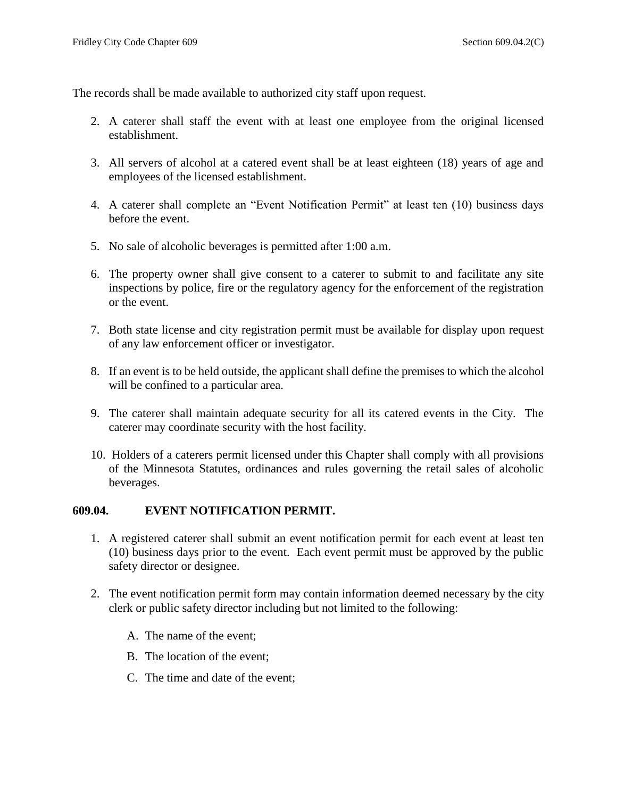The records shall be made available to authorized city staff upon request.

- 2. A caterer shall staff the event with at least one employee from the original licensed establishment.
- 3. All servers of alcohol at a catered event shall be at least eighteen (18) years of age and employees of the licensed establishment.
- 4. A caterer shall complete an "Event Notification Permit" at least ten (10) business days before the event.
- 5. No sale of alcoholic beverages is permitted after 1:00 a.m.
- 6. The property owner shall give consent to a caterer to submit to and facilitate any site inspections by police, fire or the regulatory agency for the enforcement of the registration or the event.
- 7. Both state license and city registration permit must be available for display upon request of any law enforcement officer or investigator.
- 8. If an event is to be held outside, the applicant shall define the premises to which the alcohol will be confined to a particular area.
- 9. The caterer shall maintain adequate security for all its catered events in the City. The caterer may coordinate security with the host facility.
- 10. Holders of a caterers permit licensed under this Chapter shall comply with all provisions of the Minnesota Statutes, ordinances and rules governing the retail sales of alcoholic beverages.

# **609.04. EVENT NOTIFICATION PERMIT.**

- 1. A registered caterer shall submit an event notification permit for each event at least ten (10) business days prior to the event. Each event permit must be approved by the public safety director or designee.
- 2. The event notification permit form may contain information deemed necessary by the city clerk or public safety director including but not limited to the following:
	- A. The name of the event;
	- B. The location of the event;
	- C. The time and date of the event;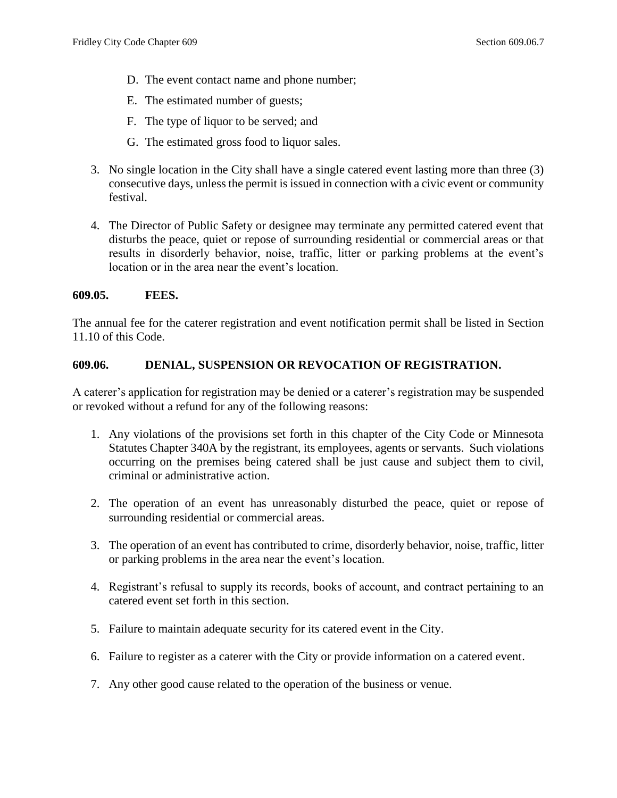- D. The event contact name and phone number;
- E. The estimated number of guests;
- F. The type of liquor to be served; and
- G. The estimated gross food to liquor sales.
- 3. No single location in the City shall have a single catered event lasting more than three (3) consecutive days, unless the permit is issued in connection with a civic event or community festival.
- 4. The Director of Public Safety or designee may terminate any permitted catered event that disturbs the peace, quiet or repose of surrounding residential or commercial areas or that results in disorderly behavior, noise, traffic, litter or parking problems at the event's location or in the area near the event's location.

### **609.05. FEES.**

The annual fee for the caterer registration and event notification permit shall be listed in Section 11.10 of this Code.

### **609.06. DENIAL, SUSPENSION OR REVOCATION OF REGISTRATION.**

A caterer's application for registration may be denied or a caterer's registration may be suspended or revoked without a refund for any of the following reasons:

- 1. Any violations of the provisions set forth in this chapter of the City Code or Minnesota Statutes Chapter 340A by the registrant, its employees, agents or servants. Such violations occurring on the premises being catered shall be just cause and subject them to civil, criminal or administrative action.
- 2. The operation of an event has unreasonably disturbed the peace, quiet or repose of surrounding residential or commercial areas.
- 3. The operation of an event has contributed to crime, disorderly behavior, noise, traffic, litter or parking problems in the area near the event's location.
- 4. Registrant's refusal to supply its records, books of account, and contract pertaining to an catered event set forth in this section.
- 5. Failure to maintain adequate security for its catered event in the City.
- 6. Failure to register as a caterer with the City or provide information on a catered event.
- 7. Any other good cause related to the operation of the business or venue.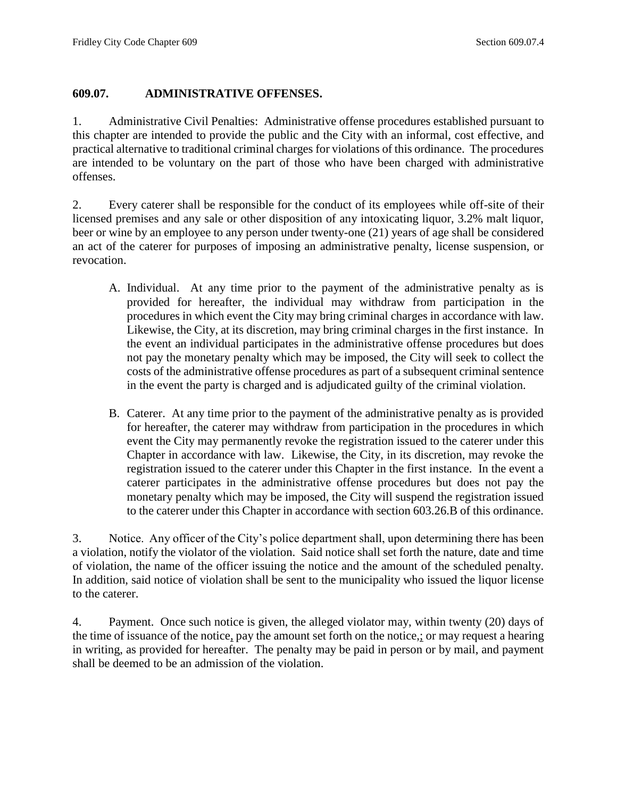# **609.07. ADMINISTRATIVE OFFENSES.**

1. Administrative Civil Penalties: Administrative offense procedures established pursuant to this chapter are intended to provide the public and the City with an informal, cost effective, and practical alternative to traditional criminal charges for violations of this ordinance. The procedures are intended to be voluntary on the part of those who have been charged with administrative offenses.

2. Every caterer shall be responsible for the conduct of its employees while off-site of their licensed premises and any sale or other disposition of any intoxicating liquor, 3.2% malt liquor, beer or wine by an employee to any person under twenty-one (21) years of age shall be considered an act of the caterer for purposes of imposing an administrative penalty, license suspension, or revocation.

- A. Individual. At any time prior to the payment of the administrative penalty as is provided for hereafter, the individual may withdraw from participation in the procedures in which event the City may bring criminal charges in accordance with law. Likewise, the City, at its discretion, may bring criminal charges in the first instance. In the event an individual participates in the administrative offense procedures but does not pay the monetary penalty which may be imposed, the City will seek to collect the costs of the administrative offense procedures as part of a subsequent criminal sentence in the event the party is charged and is adjudicated guilty of the criminal violation.
- B. Caterer. At any time prior to the payment of the administrative penalty as is provided for hereafter, the caterer may withdraw from participation in the procedures in which event the City may permanently revoke the registration issued to the caterer under this Chapter in accordance with law. Likewise, the City, in its discretion, may revoke the registration issued to the caterer under this Chapter in the first instance. In the event a caterer participates in the administrative offense procedures but does not pay the monetary penalty which may be imposed, the City will suspend the registration issued to the caterer under this Chapter in accordance with section 603.26.B of this ordinance.

3. Notice. Any officer of the City's police department shall, upon determining there has been a violation, notify the violator of the violation. Said notice shall set forth the nature, date and time of violation, the name of the officer issuing the notice and the amount of the scheduled penalty. In addition, said notice of violation shall be sent to the municipality who issued the liquor license to the caterer.

4. Payment. Once such notice is given, the alleged violator may, within twenty (20) days of the time of issuance of the notice, pay the amount set forth on the notice, or may request a hearing in writing, as provided for hereafter. The penalty may be paid in person or by mail, and payment shall be deemed to be an admission of the violation.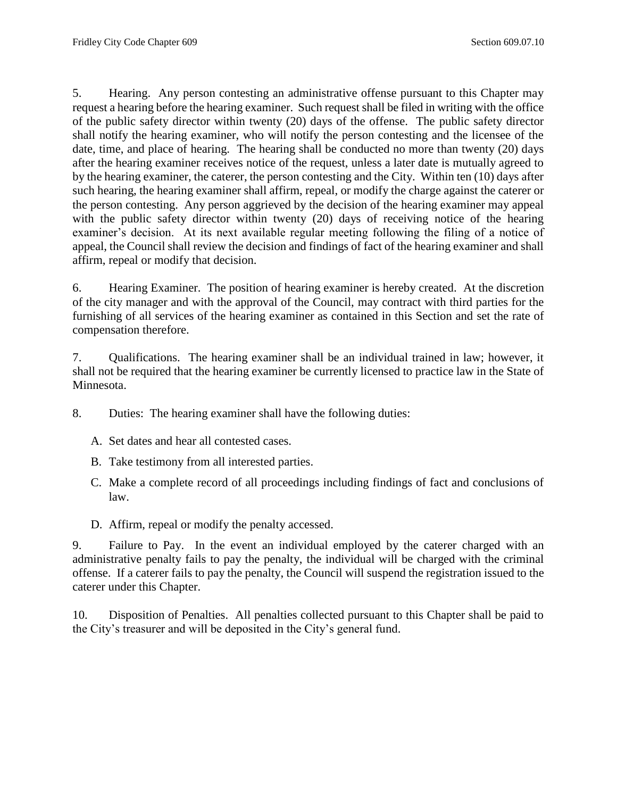5. Hearing. Any person contesting an administrative offense pursuant to this Chapter may request a hearing before the hearing examiner. Such request shall be filed in writing with the office of the public safety director within twenty (20) days of the offense. The public safety director shall notify the hearing examiner, who will notify the person contesting and the licensee of the date, time, and place of hearing. The hearing shall be conducted no more than twenty (20) days after the hearing examiner receives notice of the request, unless a later date is mutually agreed to by the hearing examiner, the caterer, the person contesting and the City. Within ten (10) days after such hearing, the hearing examiner shall affirm, repeal, or modify the charge against the caterer or the person contesting. Any person aggrieved by the decision of the hearing examiner may appeal with the public safety director within twenty (20) days of receiving notice of the hearing examiner's decision. At its next available regular meeting following the filing of a notice of appeal, the Council shall review the decision and findings of fact of the hearing examiner and shall affirm, repeal or modify that decision.

6. Hearing Examiner. The position of hearing examiner is hereby created. At the discretion of the city manager and with the approval of the Council, may contract with third parties for the furnishing of all services of the hearing examiner as contained in this Section and set the rate of compensation therefore.

7. Qualifications. The hearing examiner shall be an individual trained in law; however, it shall not be required that the hearing examiner be currently licensed to practice law in the State of Minnesota.

- 8. Duties: The hearing examiner shall have the following duties:
	- A. Set dates and hear all contested cases.
	- B. Take testimony from all interested parties.
	- C. Make a complete record of all proceedings including findings of fact and conclusions of law.
	- D. Affirm, repeal or modify the penalty accessed.

9. Failure to Pay. In the event an individual employed by the caterer charged with an administrative penalty fails to pay the penalty, the individual will be charged with the criminal offense. If a caterer fails to pay the penalty, the Council will suspend the registration issued to the caterer under this Chapter.

10. Disposition of Penalties. All penalties collected pursuant to this Chapter shall be paid to the City's treasurer and will be deposited in the City's general fund.